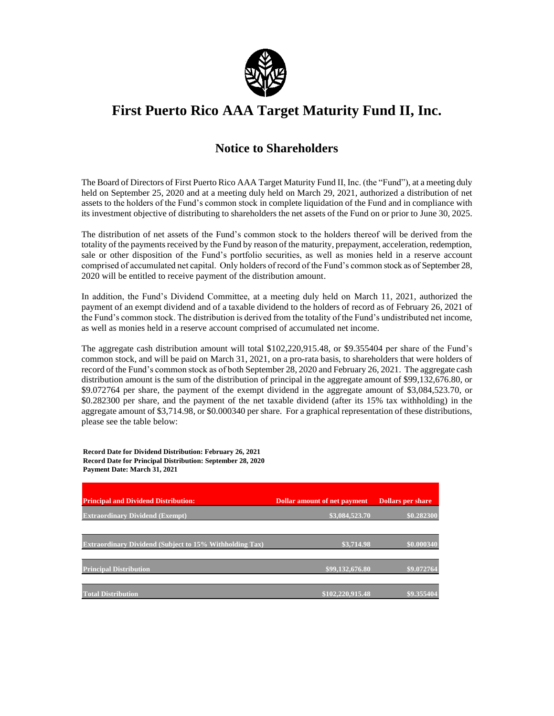

## **First Puerto Rico AAA Target Maturity Fund II, Inc.**

## **Notice to Shareholders**

The Board of Directors of First Puerto Rico AAA Target Maturity Fund II, Inc. (the "Fund"), at a meeting duly held on September 25, 2020 and at a meeting duly held on March 29, 2021, authorized a distribution of net assets to the holders of the Fund's common stock in complete liquidation of the Fund and in compliance with its investment objective of distributing to shareholders the net assets of the Fund on or prior to June 30, 2025.

The distribution of net assets of the Fund's common stock to the holders thereof will be derived from the totality of the payments received by the Fund by reason of the maturity, prepayment, acceleration, redemption, sale or other disposition of the Fund's portfolio securities, as well as monies held in a reserve account comprised of accumulated net capital. Only holders of record of the Fund's common stock as of September 28, 2020 will be entitled to receive payment of the distribution amount.

In addition, the Fund's Dividend Committee, at a meeting duly held on March 11, 2021, authorized the payment of an exempt dividend and of a taxable dividend to the holders of record as of February 26, 2021 of the Fund's common stock. The distribution is derived from the totality of the Fund's undistributed net income, as well as monies held in a reserve account comprised of accumulated net income.

The aggregate cash distribution amount will total \$102,220,915.48, or \$9.355404 per share of the Fund's common stock, and will be paid on March 31, 2021, on a pro-rata basis, to shareholders that were holders of record of the Fund's common stock as of both September 28, 2020 and February 26, 2021. The aggregate cash distribution amount is the sum of the distribution of principal in the aggregate amount of \$99,132,676.80, or \$9.072764 per share, the payment of the exempt dividend in the aggregate amount of \$3,084,523.70, or \$0.282300 per share, and the payment of the net taxable dividend (after its 15% tax withholding) in the aggregate amount of \$3,714.98, or \$0.000340 per share. For a graphical representation of these distributions, please see the table below:

**Record Date for Dividend Distribution: February 26, 2021 Record Date for Principal Distribution: September 28, 2020 Payment Date: March 31, 2021**

| <b>Principal and Dividend Distribution:</b>                    | <b>Dollar amount of net payment</b> | <b>Dollars per share</b> |
|----------------------------------------------------------------|-------------------------------------|--------------------------|
| <b>Extraordinary Dividend (Exempt)</b>                         | \$3,084,523.70                      | \$0.282300               |
| <b>Extraordinary Dividend (Subject to 15% Withholding Tax)</b> | \$3,714.98                          | \$0.000340               |
| <b>Principal Distribution</b>                                  | \$99,132,676.80                     | \$9.072764               |
| <b>Total Distribution</b>                                      | \$102,220,915.48                    | \$9,355404               |